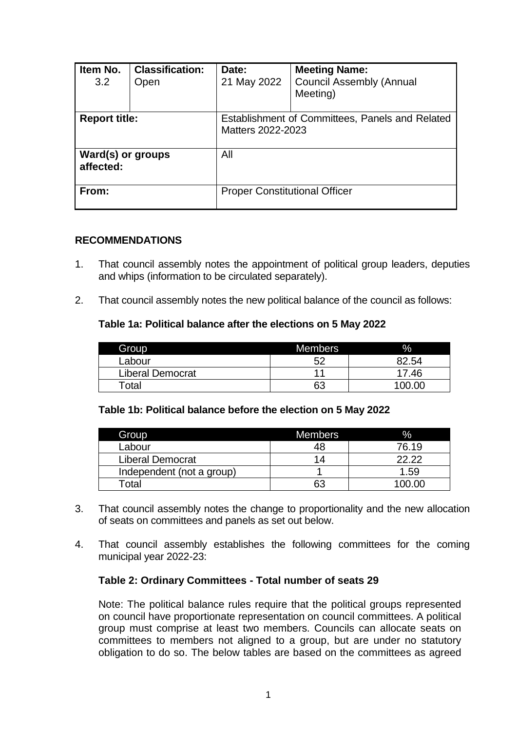| Item No.<br>3.2                | <b>Classification:</b><br>Open | Date:<br>21 May 2022                                                 | <b>Meeting Name:</b><br><b>Council Assembly (Annual</b><br>Meeting) |  |
|--------------------------------|--------------------------------|----------------------------------------------------------------------|---------------------------------------------------------------------|--|
| <b>Report title:</b>           |                                | Establishment of Committees, Panels and Related<br>Matters 2022-2023 |                                                                     |  |
| Ward(s) or groups<br>affected: |                                | All                                                                  |                                                                     |  |
| From:                          |                                | <b>Proper Constitutional Officer</b>                                 |                                                                     |  |

### **RECOMMENDATIONS**

- 1. That council assembly notes the appointment of political group leaders, deputies and whips (information to be circulated separately).
- 2. That council assembly notes the new political balance of the council as follows:

# **Table 1a: Political balance after the elections on 5 May 2022**

| Group                   | <b>Members</b> | $\%$   |
|-------------------------|----------------|--------|
| Labour                  | 52             | 82.54  |
| <b>Liberal Democrat</b> | 4.             | 17.46  |
| Total                   | 63             | 100.00 |

# **Table 1b: Political balance before the election on 5 May 2022**

| Group                     | <b>Members</b> | $\%$   |
|---------------------------|----------------|--------|
| Labour                    |                | 76.19  |
| <b>Liberal Democrat</b>   | 14             | רר רר  |
| Independent (not a group) |                | 1.59   |
| ⊺otal                     | 63             | 100.00 |

- 3. That council assembly notes the change to proportionality and the new allocation of seats on committees and panels as set out below.
- 4. That council assembly establishes the following committees for the coming municipal year 2022-23:

#### **Table 2: Ordinary Committees - Total number of seats 29**

Note: The political balance rules require that the political groups represented on council have proportionate representation on council committees. A political group must comprise at least two members. Councils can allocate seats on committees to members not aligned to a group, but are under no statutory obligation to do so. The below tables are based on the committees as agreed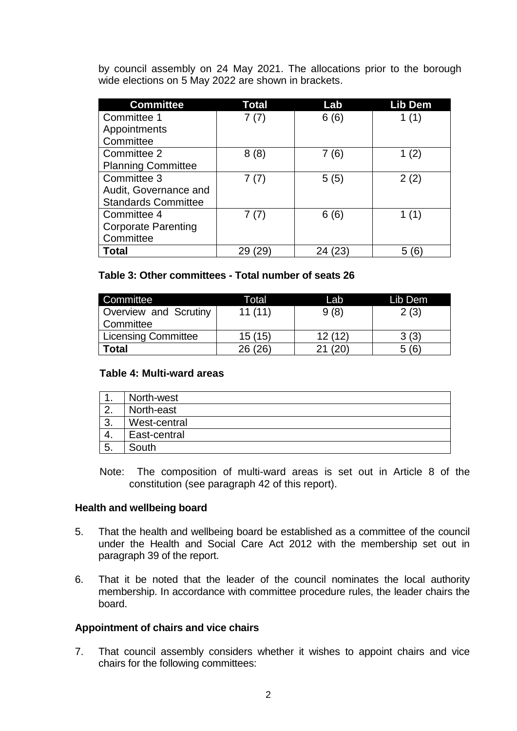by council assembly on 24 May 2021. The allocations prior to the borough wide elections on 5 May 2022 are shown in brackets.

| <b>Committee</b>           | Total | Lab   | Lib Dem |
|----------------------------|-------|-------|---------|
| Committee 1                | 7(7)  | 6(6)  | 1(1)    |
| Appointments               |       |       |         |
| Committee                  |       |       |         |
| Committee 2                | 8(8)  | 7 (6) |         |
| <b>Planning Committee</b>  |       |       |         |
| Committee 3                | 7(7)  | 5(5)  | 2(2)    |
| Audit, Governance and      |       |       |         |
| <b>Standards Committee</b> |       |       |         |
| Committee 4                | 7(7)  | 6(6)  |         |
| <b>Corporate Parenting</b> |       |       |         |
| Committee                  |       |       |         |
| Total                      |       |       |         |

# **Table 3: Other committees - Total number of seats 26**

| Committee             | Total   | Lab    | Lib Dem |
|-----------------------|---------|--------|---------|
| Overview and Scrutiny | 11(11)  | 9(8)   | 2(3)    |
| Committee             |         |        |         |
| Licensing Committee   | 15(15)  | 12(12) | 3(3)    |
| <b>Total</b>          | 26 (26) |        | 5(6)    |

#### **Table 4: Multi-ward areas**

| . . | North-west   |
|-----|--------------|
| 2.  | North-east   |
| 3.  | West-central |
| -4. | East-central |
| 5.  | South        |

Note: The composition of multi-ward areas is set out in Article 8 of the constitution (see paragraph 42 of this report).

#### **Health and wellbeing board**

- 5. That the health and wellbeing board be established as a committee of the council under the Health and Social Care Act 2012 with the membership set out in paragraph 39 of the report.
- 6. That it be noted that the leader of the council nominates the local authority membership. In accordance with committee procedure rules, the leader chairs the board.

# **Appointment of chairs and vice chairs**

7. That council assembly considers whether it wishes to appoint chairs and vice chairs for the following committees: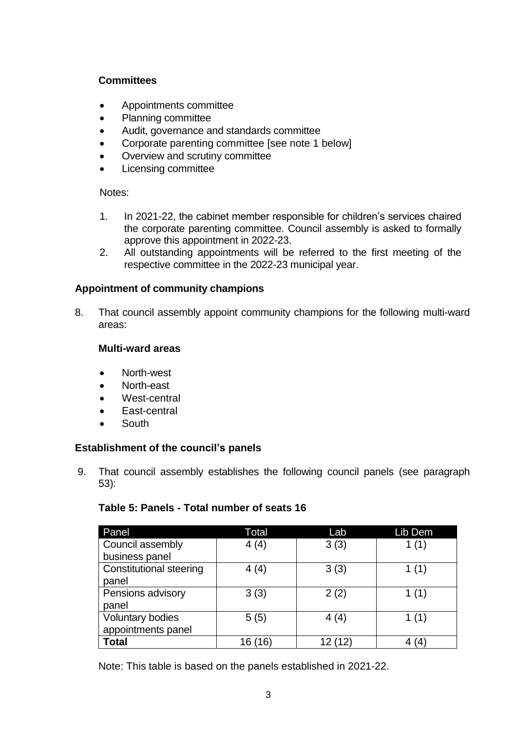# **Committees**

- Appointments committee
- Planning committee
- Audit, governance and standards committee
- Corporate parenting committee [see note 1 below]
- Overview and scrutiny committee
- Licensing committee

Notes:

- 1. In 2021-22, the cabinet member responsible for children's services chaired the corporate parenting committee. Council assembly is asked to formally approve this appointment in 2022-23.
- 2. All outstanding appointments will be referred to the first meeting of the respective committee in the 2022-23 municipal year.

# **Appointment of community champions**

8. That council assembly appoint community champions for the following multi-ward areas:

# **Multi-ward areas**

- North-west
- North-east
- West-central
- East-central
- South

# **Establishment of the council's panels**

9. That council assembly establishes the following council panels (see paragraph 53):

# **Table 5: Panels - Total number of seats 16**

| Panel                          | Total      | Lab  | Lib Dem |
|--------------------------------|------------|------|---------|
| Council assembly               | 4(4)       | 3(3) | 1(1)    |
| business panel                 |            |      |         |
| <b>Constitutional steering</b> | 4(4)       | 3(3) | 1 $(1)$ |
| panel                          |            |      |         |
| Pensions advisory              | 3(3)       | 2(2) | 1 (1)   |
| panel                          |            |      |         |
| <b>Voluntary bodies</b>        | 5(5)       | 4(4) | 1(1)    |
| appointments panel             |            |      |         |
| <b>Total</b>                   | (16)<br>16 |      |         |

Note: This table is based on the panels established in 2021-22.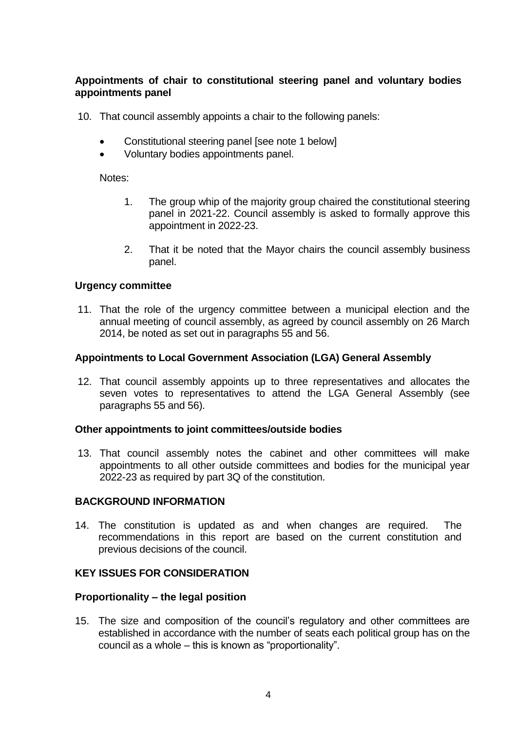# **Appointments of chair to constitutional steering panel and voluntary bodies appointments panel**

10. That council assembly appoints a chair to the following panels:

- Constitutional steering panel [see note 1 below]
- Voluntary bodies appointments panel.

Notes:

- 1. The group whip of the majority group chaired the constitutional steering panel in 2021-22. Council assembly is asked to formally approve this appointment in 2022-23.
- 2. That it be noted that the Mayor chairs the council assembly business panel.

# **Urgency committee**

11. That the role of the urgency committee between a municipal election and the annual meeting of council assembly, as agreed by council assembly on 26 March 2014, be noted as set out in paragraphs 55 and 56.

# **Appointments to Local Government Association (LGA) General Assembly**

12. That council assembly appoints up to three representatives and allocates the seven votes to representatives to attend the LGA General Assembly (see paragraphs 55 and 56).

#### **Other appointments to joint committees/outside bodies**

13. That council assembly notes the cabinet and other committees will make appointments to all other outside committees and bodies for the municipal year 2022-23 as required by part 3Q of the constitution.

# **BACKGROUND INFORMATION**

14. The constitution is updated as and when changes are required. The recommendations in this report are based on the current constitution and previous decisions of the council.

# **KEY ISSUES FOR CONSIDERATION**

# **Proportionality – the legal position**

15. The size and composition of the council's regulatory and other committees are established in accordance with the number of seats each political group has on the council as a whole – this is known as "proportionality".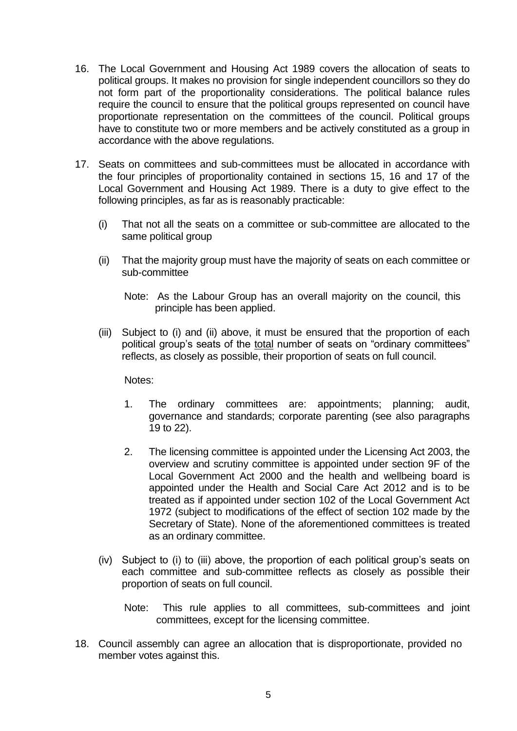- 16. The Local Government and Housing Act 1989 covers the allocation of seats to political groups. It makes no provision for single independent councillors so they do not form part of the proportionality considerations. The political balance rules require the council to ensure that the political groups represented on council have proportionate representation on the committees of the council. Political groups have to constitute two or more members and be actively constituted as a group in accordance with the above regulations.
- 17. Seats on committees and sub-committees must be allocated in accordance with the four principles of proportionality contained in sections 15, 16 and 17 of the Local Government and Housing Act 1989. There is a duty to give effect to the following principles, as far as is reasonably practicable:
	- (i) That not all the seats on a committee or sub-committee are allocated to the same political group
	- (ii) That the majority group must have the majority of seats on each committee or sub-committee
		- Note: As the Labour Group has an overall majority on the council, this principle has been applied.
	- (iii) Subject to (i) and (ii) above, it must be ensured that the proportion of each political group's seats of the total number of seats on "ordinary committees" reflects, as closely as possible, their proportion of seats on full council.

Notes:

- 1. The ordinary committees are: appointments; planning; audit, governance and standards; corporate parenting (see also paragraphs 19 to 22).
- 2. The licensing committee is appointed under the Licensing Act 2003, the overview and scrutiny committee is appointed under section 9F of the Local Government Act 2000 and the health and wellbeing board is appointed under the Health and Social Care Act 2012 and is to be treated as if appointed under section 102 of the Local Government Act 1972 (subject to modifications of the effect of section 102 made by the Secretary of State). None of the aforementioned committees is treated as an ordinary committee.
- (iv) Subject to (i) to (iii) above, the proportion of each political group's seats on each committee and sub-committee reflects as closely as possible their proportion of seats on full council.
	- Note: This rule applies to all committees, sub-committees and joint committees, except for the licensing committee.
- 18. Council assembly can agree an allocation that is disproportionate, provided no member votes against this.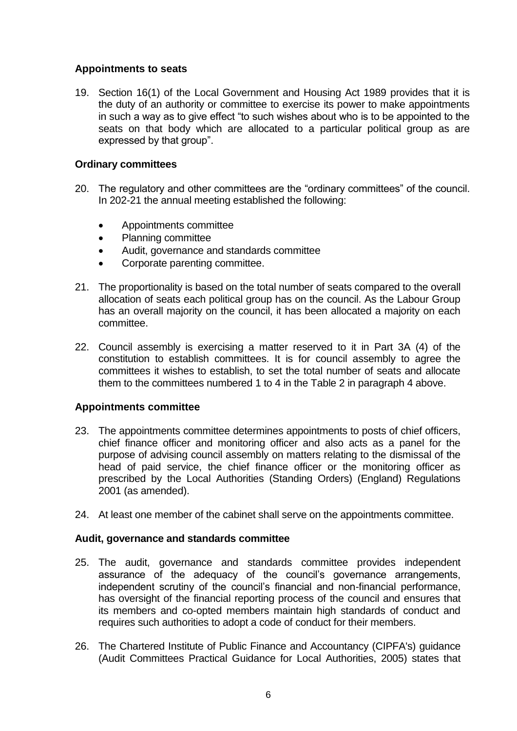# **Appointments to seats**

19. Section 16(1) of the Local Government and Housing Act 1989 provides that it is the duty of an authority or committee to exercise its power to make appointments in such a way as to give effect "to such wishes about who is to be appointed to the seats on that body which are allocated to a particular political group as are expressed by that group".

# **Ordinary committees**

- 20. The regulatory and other committees are the "ordinary committees" of the council. In 202-21 the annual meeting established the following:
	- Appointments committee
	- Planning committee
	- Audit, governance and standards committee
	- Corporate parenting committee.
- 21. The proportionality is based on the total number of seats compared to the overall allocation of seats each political group has on the council. As the Labour Group has an overall majority on the council, it has been allocated a majority on each committee.
- 22. Council assembly is exercising a matter reserved to it in Part 3A (4) of the constitution to establish committees. It is for council assembly to agree the committees it wishes to establish, to set the total number of seats and allocate them to the committees numbered 1 to 4 in the Table 2 in paragraph 4 above.

# **Appointments committee**

- 23. The appointments committee determines appointments to posts of chief officers, chief finance officer and monitoring officer and also acts as a panel for the purpose of advising council assembly on matters relating to the dismissal of the head of paid service, the chief finance officer or the monitoring officer as prescribed by the Local Authorities (Standing Orders) (England) Regulations 2001 (as amended).
- 24. At least one member of the cabinet shall serve on the appointments committee.

# **Audit, governance and standards committee**

- 25. The audit, governance and standards committee provides independent assurance of the adequacy of the council's governance arrangements, independent scrutiny of the council's financial and non-financial performance, has oversight of the financial reporting process of the council and ensures that its members and co-opted members maintain high standards of conduct and requires such authorities to adopt a code of conduct for their members.
- 26. The Chartered Institute of Public Finance and Accountancy (CIPFA's) guidance (Audit Committees Practical Guidance for Local Authorities, 2005) states that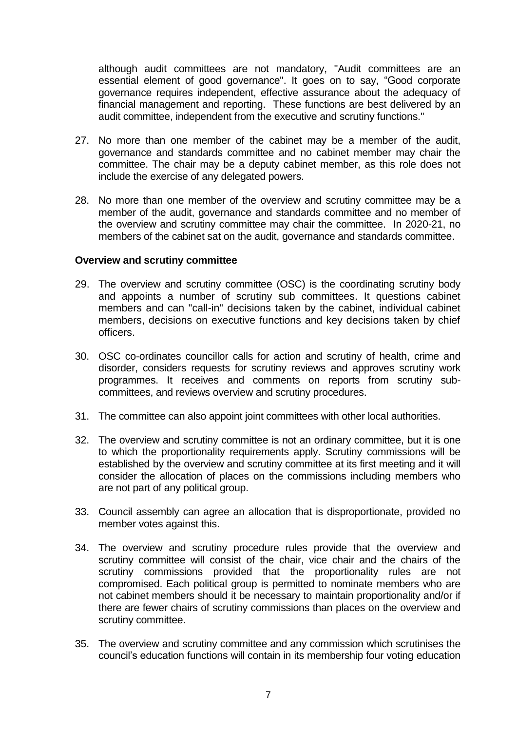although audit committees are not mandatory, "Audit committees are an essential element of good governance". It goes on to say, "Good corporate governance requires independent, effective assurance about the adequacy of financial management and reporting. These functions are best delivered by an audit committee, independent from the executive and scrutiny functions."

- 27. No more than one member of the cabinet may be a member of the audit, governance and standards committee and no cabinet member may chair the committee. The chair may be a deputy cabinet member, as this role does not include the exercise of any delegated powers.
- 28. No more than one member of the overview and scrutiny committee may be a member of the audit, governance and standards committee and no member of the overview and scrutiny committee may chair the committee. In 2020-21, no members of the cabinet sat on the audit, governance and standards committee.

#### **Overview and scrutiny committee**

- 29. The overview and scrutiny committee (OSC) is the coordinating scrutiny body and appoints a number of scrutiny sub committees. It questions cabinet members and can "call-in" decisions taken by the cabinet, individual cabinet members, decisions on executive functions and key decisions taken by chief officers.
- 30. OSC co-ordinates councillor calls for action and scrutiny of health, crime and disorder, considers requests for scrutiny reviews and approves scrutiny work programmes. It receives and comments on reports from scrutiny subcommittees, and reviews overview and scrutiny procedures.
- 31. The committee can also appoint joint committees with other local authorities.
- 32. The overview and scrutiny committee is not an ordinary committee, but it is one to which the proportionality requirements apply. Scrutiny commissions will be established by the overview and scrutiny committee at its first meeting and it will consider the allocation of places on the commissions including members who are not part of any political group.
- 33. Council assembly can agree an allocation that is disproportionate, provided no member votes against this.
- 34. The overview and scrutiny procedure rules provide that the overview and scrutiny committee will consist of the chair, vice chair and the chairs of the scrutiny commissions provided that the proportionality rules are not compromised. Each political group is permitted to nominate members who are not cabinet members should it be necessary to maintain proportionality and/or if there are fewer chairs of scrutiny commissions than places on the overview and scrutiny committee.
- 35. The overview and scrutiny committee and any commission which scrutinises the council's education functions will contain in its membership four voting education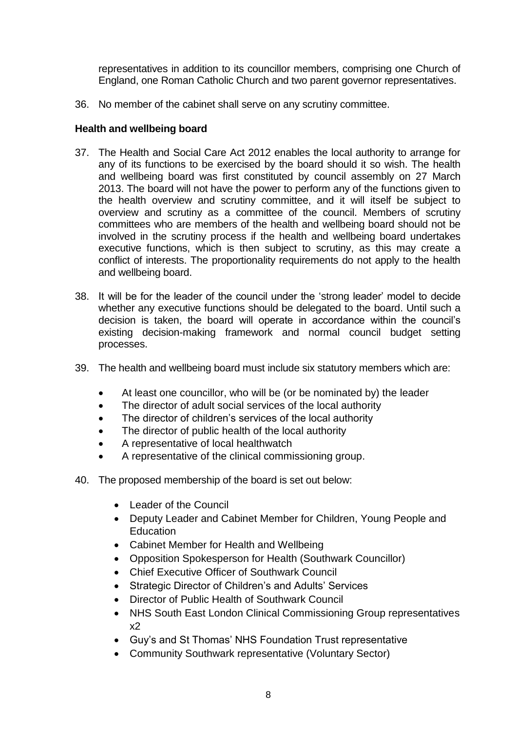representatives in addition to its councillor members, comprising one Church of England, one Roman Catholic Church and two parent governor representatives.

36. No member of the cabinet shall serve on any scrutiny committee.

# **Health and wellbeing board**

- 37. The Health and Social Care Act 2012 enables the local authority to arrange for any of its functions to be exercised by the board should it so wish. The health and wellbeing board was first constituted by council assembly on 27 March 2013. The board will not have the power to perform any of the functions given to the health overview and scrutiny committee, and it will itself be subject to overview and scrutiny as a committee of the council. Members of scrutiny committees who are members of the health and wellbeing board should not be involved in the scrutiny process if the health and wellbeing board undertakes executive functions, which is then subject to scrutiny, as this may create a conflict of interests. The proportionality requirements do not apply to the health and wellbeing board.
- 38. It will be for the leader of the council under the 'strong leader' model to decide whether any executive functions should be delegated to the board. Until such a decision is taken, the board will operate in accordance within the council's existing decision-making framework and normal council budget setting processes.
- 39. The health and wellbeing board must include six statutory members which are:
	- At least one councillor, who will be (or be nominated by) the leader
	- The director of adult social services of the local authority
	- The director of children's services of the local authority
	- The director of public health of the local authority
	- A representative of local healthwatch
	- A representative of the clinical commissioning group.
- 40. The proposed membership of the board is set out below:
	- Leader of the Council
	- Deputy Leader and Cabinet Member for Children, Young People and **Education**
	- Cabinet Member for Health and Wellbeing
	- Opposition Spokesperson for Health (Southwark Councillor)
	- Chief Executive Officer of Southwark Council
	- Strategic Director of Children's and Adults' Services
	- Director of Public Health of Southwark Council
	- NHS South East London Clinical Commissioning Group representatives x2
	- Guy's and St Thomas' NHS Foundation Trust representative
	- Community Southwark representative (Voluntary Sector)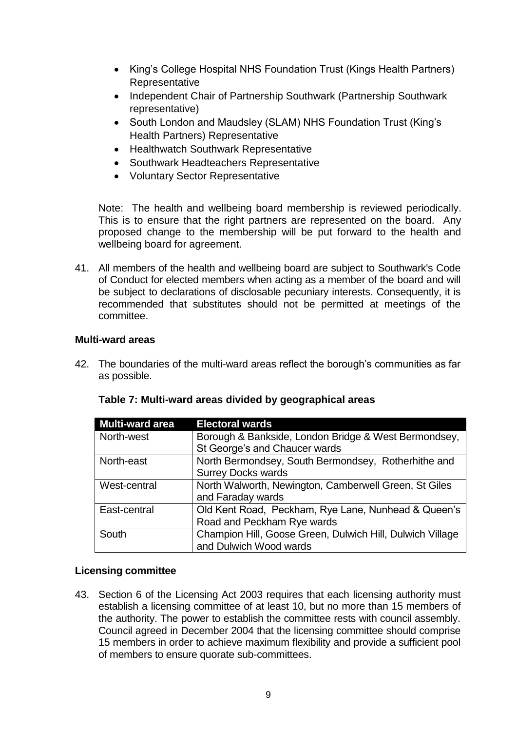- King's College Hospital NHS Foundation Trust (Kings Health Partners) Representative
- Independent Chair of Partnership Southwark (Partnership Southwark representative)
- South London and Maudsley (SLAM) NHS Foundation Trust (King's Health Partners) Representative
- Healthwatch Southwark Representative
- Southwark Headteachers Representative
- Voluntary Sector Representative

Note: The health and wellbeing board membership is reviewed periodically. This is to ensure that the right partners are represented on the board. Any proposed change to the membership will be put forward to the health and wellbeing board for agreement.

41. All members of the health and wellbeing board are subject to Southwark's Code of Conduct for elected members when acting as a member of the board and will be subject to declarations of disclosable pecuniary interests. Consequently, it is recommended that substitutes should not be permitted at meetings of the committee.

### **Multi-ward areas**

42. The boundaries of the multi-ward areas reflect the borough's communities as far as possible.

| <b>Multi-ward area</b> | <b>Electoral wards</b>                                    |
|------------------------|-----------------------------------------------------------|
| North-west             | Borough & Bankside, London Bridge & West Bermondsey,      |
|                        | St George's and Chaucer wards                             |
| North-east             | North Bermondsey, South Bermondsey, Rotherhithe and       |
|                        | <b>Surrey Docks wards</b>                                 |
| West-central           | North Walworth, Newington, Camberwell Green, St Giles     |
|                        | and Faraday wards                                         |
| East-central           | Old Kent Road, Peckham, Rye Lane, Nunhead & Queen's       |
|                        | Road and Peckham Rye wards                                |
| South                  | Champion Hill, Goose Green, Dulwich Hill, Dulwich Village |
|                        | and Dulwich Wood wards                                    |

# **Table 7: Multi-ward areas divided by geographical areas**

# **Licensing committee**

43. Section 6 of the Licensing Act 2003 requires that each licensing authority must establish a licensing committee of at least 10, but no more than 15 members of the authority. The power to establish the committee rests with council assembly. Council agreed in December 2004 that the licensing committee should comprise 15 members in order to achieve maximum flexibility and provide a sufficient pool of members to ensure quorate sub-committees.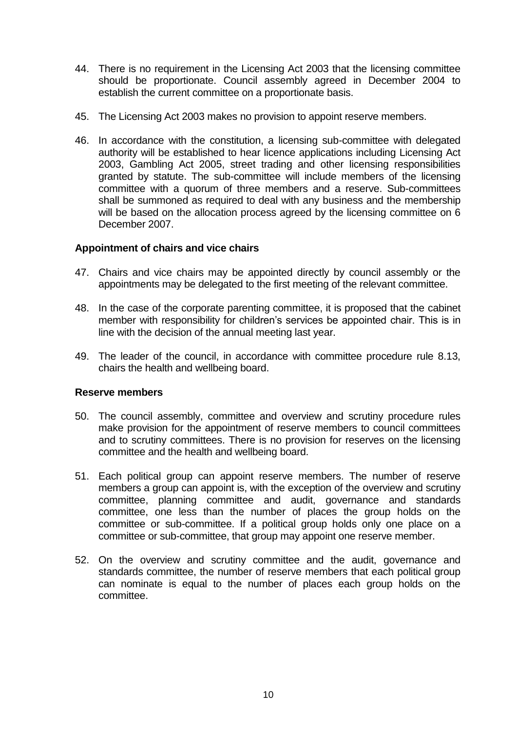- 44. There is no requirement in the Licensing Act 2003 that the licensing committee should be proportionate. Council assembly agreed in December 2004 to establish the current committee on a proportionate basis.
- 45. The Licensing Act 2003 makes no provision to appoint reserve members.
- 46. In accordance with the constitution, a licensing sub-committee with delegated authority will be established to hear licence applications including Licensing Act 2003, Gambling Act 2005, street trading and other licensing responsibilities granted by statute. The sub-committee will include members of the licensing committee with a quorum of three members and a reserve. Sub-committees shall be summoned as required to deal with any business and the membership will be based on the allocation process agreed by the licensing committee on 6 December 2007.

### **Appointment of chairs and vice chairs**

- 47. Chairs and vice chairs may be appointed directly by council assembly or the appointments may be delegated to the first meeting of the relevant committee.
- 48. In the case of the corporate parenting committee, it is proposed that the cabinet member with responsibility for children's services be appointed chair. This is in line with the decision of the annual meeting last year.
- 49. The leader of the council, in accordance with committee procedure rule 8.13, chairs the health and wellbeing board.

#### **Reserve members**

- 50. The council assembly, committee and overview and scrutiny procedure rules make provision for the appointment of reserve members to council committees and to scrutiny committees. There is no provision for reserves on the licensing committee and the health and wellbeing board.
- 51. Each political group can appoint reserve members. The number of reserve members a group can appoint is, with the exception of the overview and scrutiny committee, planning committee and audit, governance and standards committee, one less than the number of places the group holds on the committee or sub-committee. If a political group holds only one place on a committee or sub-committee, that group may appoint one reserve member.
- 52. On the overview and scrutiny committee and the audit, governance and standards committee, the number of reserve members that each political group can nominate is equal to the number of places each group holds on the committee.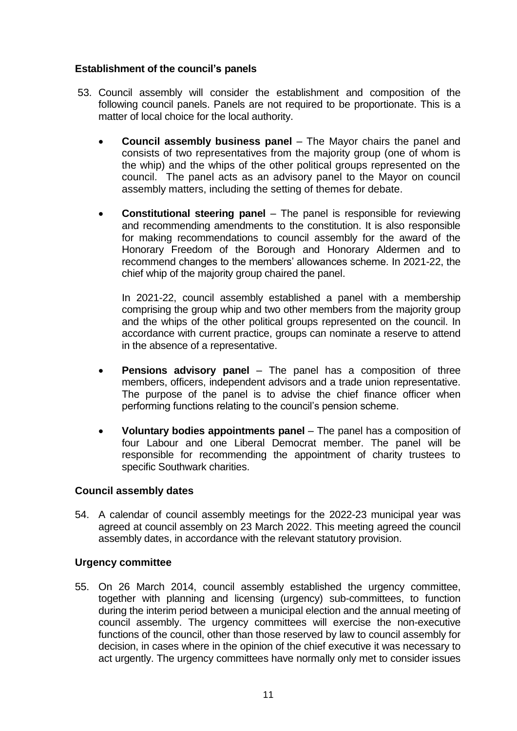# **Establishment of the council's panels**

- 53. Council assembly will consider the establishment and composition of the following council panels. Panels are not required to be proportionate. This is a matter of local choice for the local authority.
	- **Council assembly business panel** The Mayor chairs the panel and consists of two representatives from the majority group (one of whom is the whip) and the whips of the other political groups represented on the council. The panel acts as an advisory panel to the Mayor on council assembly matters, including the setting of themes for debate.
	- **Constitutional steering panel** The panel is responsible for reviewing and recommending amendments to the constitution. It is also responsible for making recommendations to council assembly for the award of the Honorary Freedom of the Borough and Honorary Aldermen and to recommend changes to the members' allowances scheme. In 2021-22, the chief whip of the majority group chaired the panel.

In 2021-22, council assembly established a panel with a membership comprising the group whip and two other members from the majority group and the whips of the other political groups represented on the council. In accordance with current practice, groups can nominate a reserve to attend in the absence of a representative.

- **Pensions advisory panel** The panel has a composition of three members, officers, independent advisors and a trade union representative. The purpose of the panel is to advise the chief finance officer when performing functions relating to the council's pension scheme.
- **Voluntary bodies appointments panel** The panel has a composition of four Labour and one Liberal Democrat member. The panel will be responsible for recommending the appointment of charity trustees to specific Southwark charities.

# **Council assembly dates**

54. A calendar of council assembly meetings for the 2022-23 municipal year was agreed at council assembly on 23 March 2022. This meeting agreed the council assembly dates, in accordance with the relevant statutory provision.

# **Urgency committee**

55. On 26 March 2014, council assembly established the urgency committee, together with planning and licensing (urgency) sub-committees, to function during the interim period between a municipal election and the annual meeting of council assembly. The urgency committees will exercise the non-executive functions of the council, other than those reserved by law to council assembly for decision, in cases where in the opinion of the chief executive it was necessary to act urgently. The urgency committees have normally only met to consider issues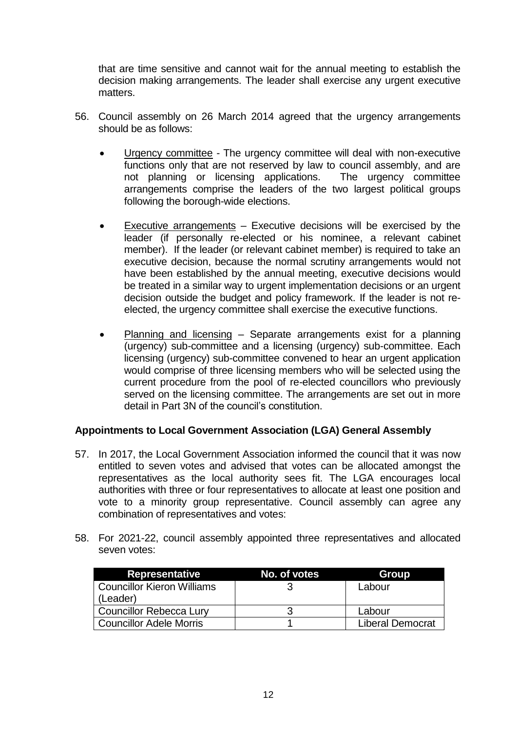that are time sensitive and cannot wait for the annual meeting to establish the decision making arrangements. The leader shall exercise any urgent executive matters.

- 56. Council assembly on 26 March 2014 agreed that the urgency arrangements should be as follows:
	- Urgency committee The urgency committee will deal with non-executive functions only that are not reserved by law to council assembly, and are not planning or licensing applications. The urgency committee not planning or licensing applications. arrangements comprise the leaders of the two largest political groups following the borough-wide elections.
	- Executive arrangements Executive decisions will be exercised by the leader (if personally re-elected or his nominee, a relevant cabinet member). If the leader (or relevant cabinet member) is required to take an executive decision, because the normal scrutiny arrangements would not have been established by the annual meeting, executive decisions would be treated in a similar way to urgent implementation decisions or an urgent decision outside the budget and policy framework. If the leader is not reelected, the urgency committee shall exercise the executive functions.
	- Planning and licensing Separate arrangements exist for a planning (urgency) sub-committee and a licensing (urgency) sub-committee. Each licensing (urgency) sub-committee convened to hear an urgent application would comprise of three licensing members who will be selected using the current procedure from the pool of re-elected councillors who previously served on the licensing committee. The arrangements are set out in more detail in Part 3N of the council's constitution.

# **Appointments to Local Government Association (LGA) General Assembly**

- 57. In 2017, the Local Government Association informed the council that it was now entitled to seven votes and advised that votes can be allocated amongst the representatives as the local authority sees fit. The LGA encourages local authorities with three or four representatives to allocate at least one position and vote to a minority group representative. Council assembly can agree any combination of representatives and votes:
- 58. For 2021-22, council assembly appointed three representatives and allocated seven votes:

| <b>Representative</b>      | No. of votes | Group                   |
|----------------------------|--------------|-------------------------|
| Councillor Kieron Williams |              | Labour                  |
| (Leader)                   |              |                         |
| Councillor Rebecca Lury    |              | Labour                  |
| Councillor Adele Morris    |              | <b>Liberal Democrat</b> |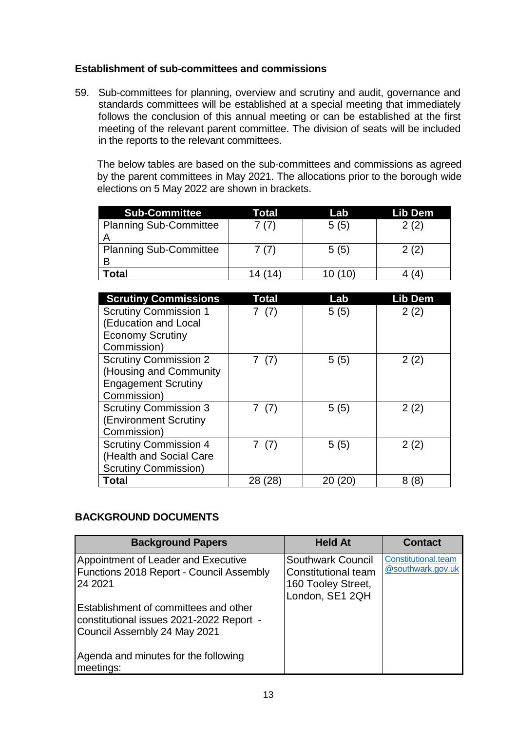# **Establishment of sub-committees and commissions**

59. Sub-committees for planning, overview and scrutiny and audit, governance and standards committees will be established at a special meeting that immediately follows the conclusion of this annual meeting or can be established at the first meeting of the relevant parent committee. The division of seats will be included in the reports to the relevant committees.

The below tables are based on the sub-committees and commissions as agreed by the parent committees in May 2021. The allocations prior to the borough wide elections on 5 May 2022 are shown in brackets.

| <b>Sub-Committee</b>          | Total | Lab  | Lib Dem |
|-------------------------------|-------|------|---------|
| <b>Planning Sub-Committee</b> | 7(7)  | 5(5) | 2(2)    |
|                               |       |      |         |
| <b>Planning Sub-Committee</b> | 7(7)  | 5(5) | 2(2)    |
|                               |       |      |         |
| Total                         |       | (10) |         |

| <b>Scrutiny Commissions</b>  | Total    | Lab      | Lib Dem |
|------------------------------|----------|----------|---------|
| <b>Scrutiny Commission 1</b> | (7)      | 5(5)     | 2(2)    |
| (Education and Local         |          |          |         |
| <b>Economy Scrutiny</b>      |          |          |         |
| Commission)                  |          |          |         |
| <b>Scrutiny Commission 2</b> | (7)      | 5(5)     | 2(2)    |
| (Housing and Community       |          |          |         |
| <b>Engagement Scrutiny</b>   |          |          |         |
| Commission)                  |          |          |         |
| <b>Scrutiny Commission 3</b> | 7 (7)    | 5(5)     | 2(2)    |
| (Environment Scrutiny        |          |          |         |
| Commission)                  |          |          |         |
| <b>Scrutiny Commission 4</b> | (7)      | 5(5)     | 2(2)    |
| (Health and Social Care      |          |          |         |
| <b>Scrutiny Commission)</b>  |          |          |         |
| Total                        | 28<br>28 | 20<br>20 | (8)     |

# **BACKGROUND DOCUMENTS**

| <b>Background Papers</b>                                                                                          | <b>Held At</b>                                                                    | <b>Contact</b>                           |
|-------------------------------------------------------------------------------------------------------------------|-----------------------------------------------------------------------------------|------------------------------------------|
| Appointment of Leader and Executive<br><b>Functions 2018 Report - Council Assembly</b><br>24 2021                 | Southwark Council<br>Constitutional team<br>160 Tooley Street,<br>London, SE1 2QH | Constitutional.team<br>@southwark.gov.uk |
| Establishment of committees and other<br>constitutional issues 2021-2022 Report -<br>Council Assembly 24 May 2021 |                                                                                   |                                          |
| Agenda and minutes for the following<br>meetings:                                                                 |                                                                                   |                                          |